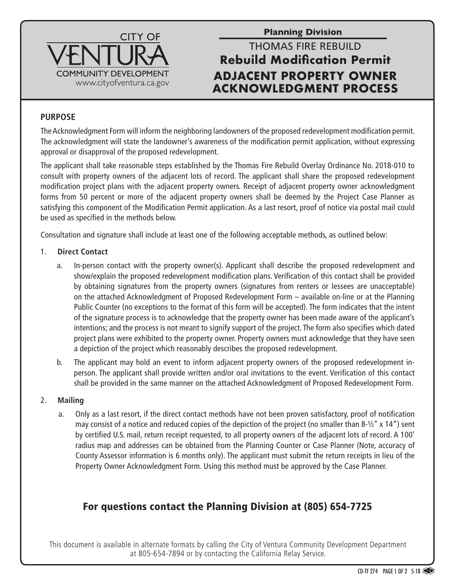

**Planning Division**

# THOMAS FIRE REBUILD **Rebuild Modification Permit ADJACENT PROPERTY OWNER ACKNOWLEDGMENT PROCESS**

### **PURPOSE**

The Acknowledgment Form will inform the neighboring landowners of the proposed redevelopment modification permit. The acknowledgment will state the landowner's awareness of the modification permit application, without expressing approval or disapproval of the proposed redevelopment.

The applicant shall take reasonable steps established by the Thomas Fire Rebuild Overlay Ordinance No. 2018-010 to consult with property owners of the adjacent lots of record. The applicant shall share the proposed redevelopment modification project plans with the adjacent property owners. Receipt of adjacent property owner acknowledgment forms from 50 percent or more of the adjacent property owners shall be deemed by the Project Case Planner as satisfying this component of the Modification Permit application. As a last resort, proof of notice via postal mail could be used as specified in the methods below.

Consultation and signature shall include at least one of the following acceptable methods, as outlined below:

#### 1. **Direct Contact**

- a. In-person contact with the property owner(s). Applicant shall describe the proposed redevelopment and show/explain the proposed redevelopment modification plans. Verification of this contact shall be provided by obtaining signatures from the property owners (signatures from renters or lessees are unacceptable) on the attached Acknowledgment of Proposed Redevelopment Form – available on-line or at the Planning Public Counter (no exceptions to the format of this form will be accepted). The form indicates that the intent of the signature process is to acknowledge that the property owner has been made aware of the applicant's intentions; and the process is not meant to signify support of the project. The form also specifies which dated project plans were exhibited to the property owner. Property owners must acknowledge that they have seen a depiction of the project which reasonably describes the proposed redevelopment.
- b. The applicant may hold an event to inform adjacent property owners of the proposed redevelopment inperson. The applicant shall provide written and/or oral invitations to the event. Verification of this contact shall be provided in the same manner on the attached Acknowledgment of Proposed Redevelopment Form.

#### 2. **Mailing**

a. Only as a last resort, if the direct contact methods have not been proven satisfactory, proof of notification may consist of a notice and reduced copies of the depiction of the project (no smaller than 8-1/2" x 14") sent by certified U.S. mail, return receipt requested, to all property owners of the adjacent lots of record. A 100' radius map and addresses can be obtained from the Planning Counter or Case Planner (Note, accuracy of County Assessor information is 6 months only). The applicant must submit the return receipts in lieu of the Property Owner Acknowledgment Form. Using this method must be approved by the Case Planner.

### For questions contact the Planning Division at (805) 654-7725

This document is available in alternate formats by calling the City of Ventura Community Development Department at 805-654-7894 or by contacting the California Relay Service.